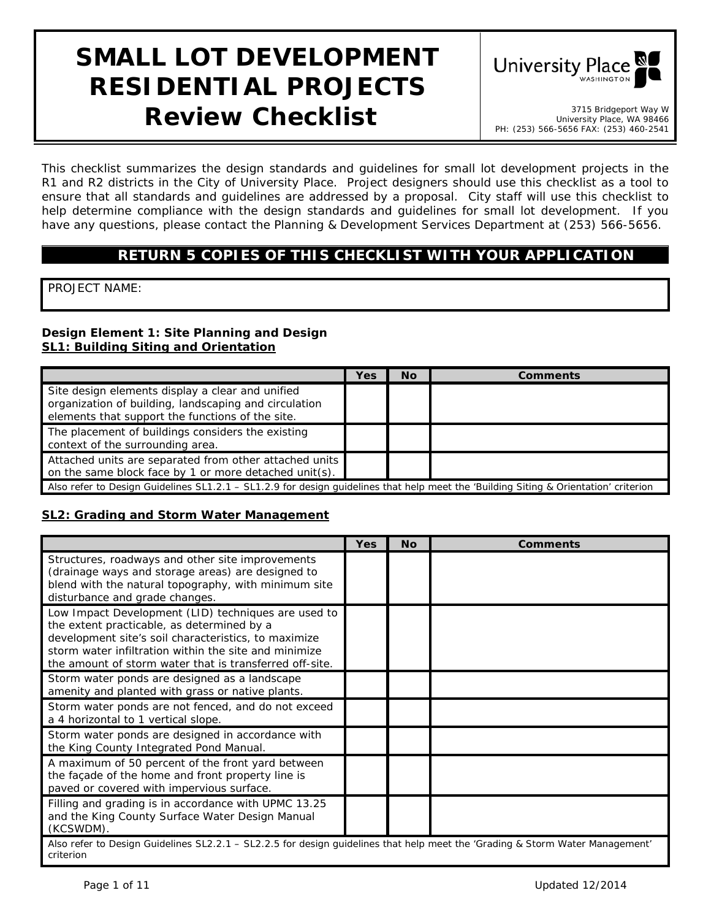# **SMALL LOT DEVELOPMENT RESIDENTIAL PROJECTS Review Checklist 1998 Checklist Place, WA 98466**



University Place, WA 98466 PH: (253) 566-5656 FAX: (253) 460-2541

*This checklist summarizes the design standards and guidelines for small lot development projects in the R1 and R2 districts in the City of University Place. Project designers should use this checklist as a tool to ensure that all standards and guidelines are addressed by a proposal. City staff will use this checklist to help determine compliance with the design standards and guidelines for small lot development. If you have any questions, please contact the Planning & Development Services Department at (253) 566-5656.*

# **RETURN 5 COPIES OF THIS CHECKLIST WITH YOUR APPLICATION**

PROJECT NAME:

#### **Design Element 1: Site Planning and Design SL1: Building Siting and Orientation**

|                                                                                                                                                               | Yes | <b>No</b> | Comments |  |
|---------------------------------------------------------------------------------------------------------------------------------------------------------------|-----|-----------|----------|--|
| Site design elements display a clear and unified<br>organization of building, landscaping and circulation<br>elements that support the functions of the site. |     |           |          |  |
| The placement of buildings considers the existing<br>context of the surrounding area.                                                                         |     |           |          |  |
| Attached units are separated from other attached units<br>on the same block face by 1 or more detached unit(s).                                               |     |           |          |  |
| Also refer to Design Guidelines SL1.2.1 – SL1.2.9 for design quidelines that help meet the 'Building Siting & Orientation' criterion                          |     |           |          |  |

#### **SL2: Grading and Storm Water Management**

|                                                                                                                                                                                                                                                                               | Yes | Nο | <b>Comments</b> |  |
|-------------------------------------------------------------------------------------------------------------------------------------------------------------------------------------------------------------------------------------------------------------------------------|-----|----|-----------------|--|
| Structures, roadways and other site improvements<br>(drainage ways and storage areas) are designed to<br>blend with the natural topography, with minimum site<br>disturbance and grade changes.                                                                               |     |    |                 |  |
| Low Impact Development (LID) techniques are used to<br>the extent practicable, as determined by a<br>development site's soil characteristics, to maximize<br>storm water infiltration within the site and minimize<br>the amount of storm water that is transferred off-site. |     |    |                 |  |
| Storm water ponds are designed as a landscape<br>amenity and planted with grass or native plants.                                                                                                                                                                             |     |    |                 |  |
| Storm water ponds are not fenced, and do not exceed<br>a 4 horizontal to 1 vertical slope.                                                                                                                                                                                    |     |    |                 |  |
| Storm water ponds are designed in accordance with<br>the King County Integrated Pond Manual.                                                                                                                                                                                  |     |    |                 |  |
| A maximum of 50 percent of the front yard between<br>the façade of the home and front property line is<br>paved or covered with impervious surface.                                                                                                                           |     |    |                 |  |
| Filling and grading is in accordance with UPMC 13.25<br>and the King County Surface Water Design Manual<br>(KCSWDM).                                                                                                                                                          |     |    |                 |  |
| Also refer to Design Guidelines SL2.2.1 - SL2.2.5 for design guidelines that help meet the 'Grading & Storm Water Management'<br>criterion                                                                                                                                    |     |    |                 |  |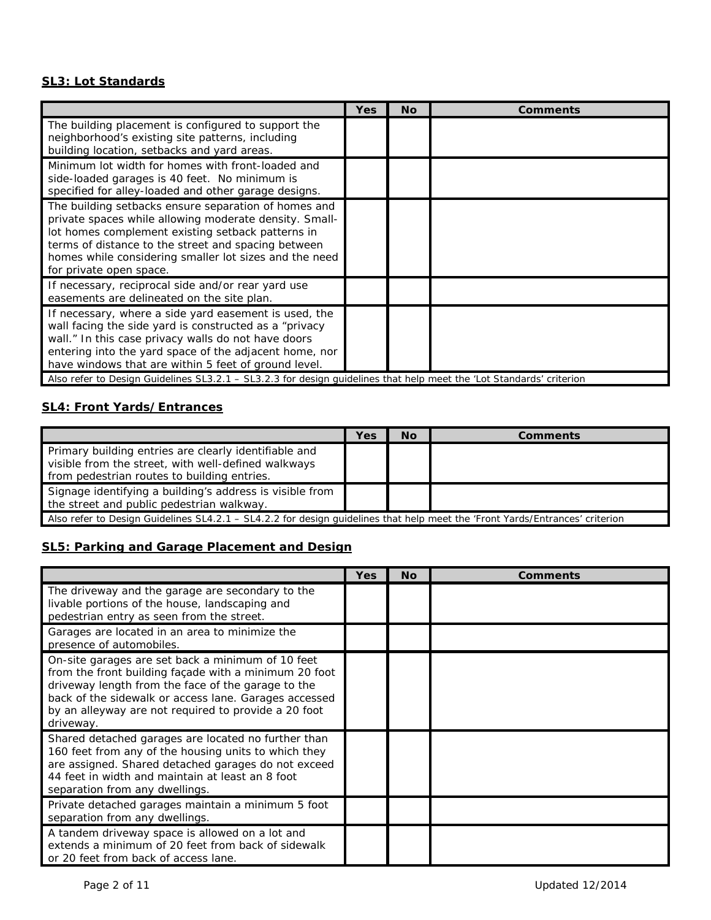#### **SL3: Lot Standards**

|                                                                                                                                                                                                                                                                                                                                                                                                                  | Yes | <b>No</b> | <b>Comments</b> |
|------------------------------------------------------------------------------------------------------------------------------------------------------------------------------------------------------------------------------------------------------------------------------------------------------------------------------------------------------------------------------------------------------------------|-----|-----------|-----------------|
| The building placement is configured to support the<br>neighborhood's existing site patterns, including<br>building location, setbacks and yard areas.                                                                                                                                                                                                                                                           |     |           |                 |
| Minimum lot width for homes with front-loaded and<br>side-loaded garages is 40 feet. No minimum is<br>specified for alley-loaded and other garage designs.                                                                                                                                                                                                                                                       |     |           |                 |
| The building setbacks ensure separation of homes and<br>private spaces while allowing moderate density. Small-<br>lot homes complement existing setback patterns in<br>terms of distance to the street and spacing between<br>homes while considering smaller lot sizes and the need<br>for private open space.                                                                                                  |     |           |                 |
| If necessary, reciprocal side and/or rear yard use<br>easements are delineated on the site plan.                                                                                                                                                                                                                                                                                                                 |     |           |                 |
| If necessary, where a side yard easement is used, the<br>wall facing the side yard is constructed as a "privacy<br>wall." In this case privacy walls do not have doors<br>entering into the yard space of the adjacent home, nor<br>have windows that are within 5 feet of ground level.<br>Also refer to Design Guidelines SL3.2.1 - SL3.2.3 for design guidelines that help meet the 'Lot Standards' criterion |     |           |                 |

# **SL4: Front Yards/Entrances**

|                                                                                                                                                             | Yes | <b>No</b> | <b>Comments</b> |
|-------------------------------------------------------------------------------------------------------------------------------------------------------------|-----|-----------|-----------------|
| Primary building entries are clearly identifiable and<br>visible from the street, with well-defined walkways<br>from pedestrian routes to building entries. |     |           |                 |
| Signage identifying a building's address is visible from<br>the street and public pedestrian walkway.                                                       |     |           |                 |
| Also refer to Design Guidelines SL4.2.1 - SL4.2.2 for design quidelines that help meet the 'Front Yards/Entrances' criterion                                |     |           |                 |

## **SL5: Parking and Garage Placement and Design**

|                                                                                                                                                                                                                                                                                                | Yes | <b>No</b> | <b>Comments</b> |
|------------------------------------------------------------------------------------------------------------------------------------------------------------------------------------------------------------------------------------------------------------------------------------------------|-----|-----------|-----------------|
| The driveway and the garage are secondary to the<br>livable portions of the house, landscaping and<br>pedestrian entry as seen from the street.                                                                                                                                                |     |           |                 |
| Garages are located in an area to minimize the<br>presence of automobiles.                                                                                                                                                                                                                     |     |           |                 |
| On-site garages are set back a minimum of 10 feet<br>from the front building façade with a minimum 20 foot<br>driveway length from the face of the garage to the<br>back of the sidewalk or access lane. Garages accessed<br>by an alleyway are not required to provide a 20 foot<br>driveway. |     |           |                 |
| Shared detached garages are located no further than<br>160 feet from any of the housing units to which they<br>are assigned. Shared detached garages do not exceed<br>44 feet in width and maintain at least an 8 foot<br>separation from any dwellings.                                       |     |           |                 |
| Private detached garages maintain a minimum 5 foot<br>separation from any dwellings.                                                                                                                                                                                                           |     |           |                 |
| A tandem driveway space is allowed on a lot and<br>extends a minimum of 20 feet from back of sidewalk<br>or 20 feet from back of access lane.                                                                                                                                                  |     |           |                 |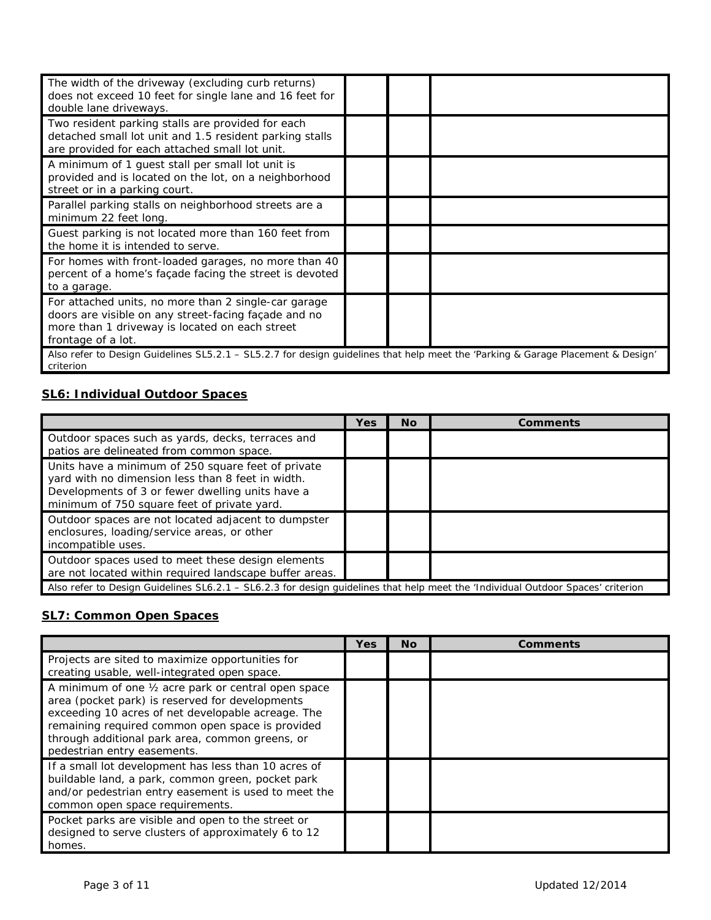| The width of the driveway (excluding curb returns)<br>does not exceed 10 feet for single lane and 16 feet for<br>double lane driveways.                                              |  |  |  |  |
|--------------------------------------------------------------------------------------------------------------------------------------------------------------------------------------|--|--|--|--|
| Two resident parking stalls are provided for each<br>detached small lot unit and 1.5 resident parking stalls<br>are provided for each attached small lot unit.                       |  |  |  |  |
| A minimum of 1 guest stall per small lot unit is<br>provided and is located on the lot, on a neighborhood<br>street or in a parking court.                                           |  |  |  |  |
| Parallel parking stalls on neighborhood streets are a<br>minimum 22 feet long.                                                                                                       |  |  |  |  |
| Guest parking is not located more than 160 feet from<br>the home it is intended to serve.                                                                                            |  |  |  |  |
| For homes with front-loaded garages, no more than 40<br>percent of a home's façade facing the street is devoted<br>to a garage.                                                      |  |  |  |  |
| For attached units, no more than 2 single-car garage<br>doors are visible on any street-facing façade and no<br>more than 1 driveway is located on each street<br>frontage of a lot. |  |  |  |  |
| Also refer to Design Guidelines SL5.2.1 – SL5.2.7 for design guidelines that help meet the 'Parking & Garage Placement & Design'<br>criterion                                        |  |  |  |  |

## **SL6: Individual Outdoor Spaces**

|                                                                                                                                                                                                            | Yes | Νo | Comments |
|------------------------------------------------------------------------------------------------------------------------------------------------------------------------------------------------------------|-----|----|----------|
| Outdoor spaces such as yards, decks, terraces and<br>patios are delineated from common space.                                                                                                              |     |    |          |
| Units have a minimum of 250 square feet of private<br>yard with no dimension less than 8 feet in width.<br>Developments of 3 or fewer dwelling units have a<br>minimum of 750 square feet of private yard. |     |    |          |
| Outdoor spaces are not located adjacent to dumpster<br>enclosures, loading/service areas, or other<br>incompatible uses.                                                                                   |     |    |          |
| Outdoor spaces used to meet these design elements<br>are not located within required landscape buffer areas.                                                                                               |     |    |          |
| Also refer to Design Guidelines SL6.2.1 – SL6.2.3 for design guidelines that help meet the 'Individual Outdoor Spaces' criterion                                                                           |     |    |          |

## **SL7: Common Open Spaces**

|                                                                                                                                                                                                                                                                                                     | <b>Yes</b> | <b>No</b> | Comments |
|-----------------------------------------------------------------------------------------------------------------------------------------------------------------------------------------------------------------------------------------------------------------------------------------------------|------------|-----------|----------|
| Projects are sited to maximize opportunities for<br>creating usable, well-integrated open space.                                                                                                                                                                                                    |            |           |          |
| A minimum of one 1/2 acre park or central open space<br>area (pocket park) is reserved for developments<br>exceeding 10 acres of net developable acreage. The<br>remaining required common open space is provided<br>through additional park area, common greens, or<br>pedestrian entry easements. |            |           |          |
| If a small lot development has less than 10 acres of<br>buildable land, a park, common green, pocket park<br>and/or pedestrian entry easement is used to meet the<br>common open space requirements.                                                                                                |            |           |          |
| Pocket parks are visible and open to the street or<br>designed to serve clusters of approximately 6 to 12<br>homes.                                                                                                                                                                                 |            |           |          |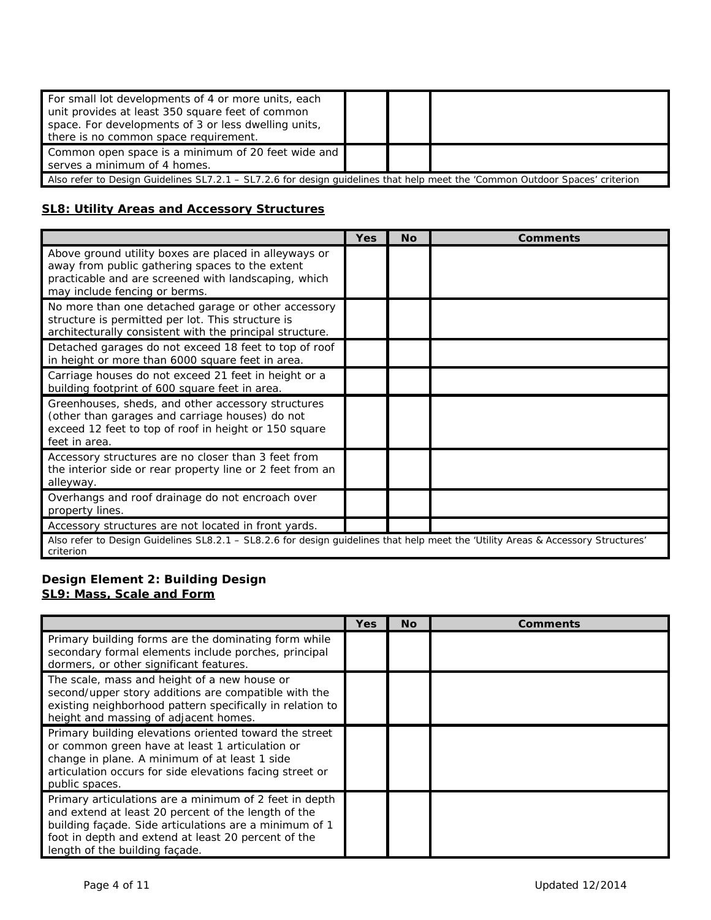| For small lot developments of 4 or more units, each<br>unit provides at least 350 square feet of common<br>space. For developments of 3 or less dwelling units,<br>there is no common space requirement. |  |  |  |
|----------------------------------------------------------------------------------------------------------------------------------------------------------------------------------------------------------|--|--|--|
| Common open space is a minimum of 20 feet wide and<br>serves a minimum of 4 homes.                                                                                                                       |  |  |  |
| Also refer to Design Guidelines SL7.2.1 - SL7.2.6 for design guidelines that help meet the 'Common Outdoor Spaces' criterion                                                                             |  |  |  |

#### **SL8: Utility Areas and Accessory Structures**

|                                                                                                                                                                                                   | Yes | Nο | <b>Comments</b> |  |
|---------------------------------------------------------------------------------------------------------------------------------------------------------------------------------------------------|-----|----|-----------------|--|
| Above ground utility boxes are placed in alleyways or<br>away from public gathering spaces to the extent<br>practicable and are screened with landscaping, which<br>may include fencing or berms. |     |    |                 |  |
| No more than one detached garage or other accessory<br>structure is permitted per lot. This structure is<br>architecturally consistent with the principal structure.                              |     |    |                 |  |
| Detached garages do not exceed 18 feet to top of roof<br>in height or more than 6000 square feet in area.                                                                                         |     |    |                 |  |
| Carriage houses do not exceed 21 feet in height or a<br>building footprint of 600 square feet in area.                                                                                            |     |    |                 |  |
| Greenhouses, sheds, and other accessory structures<br>(other than garages and carriage houses) do not<br>exceed 12 feet to top of roof in height or 150 square<br>feet in area.                   |     |    |                 |  |
| Accessory structures are no closer than 3 feet from<br>the interior side or rear property line or 2 feet from an<br>alleyway.                                                                     |     |    |                 |  |
| Overhangs and roof drainage do not encroach over<br>property lines.                                                                                                                               |     |    |                 |  |
| Accessory structures are not located in front yards.                                                                                                                                              |     |    |                 |  |
| Also refer to Design Guidelines SL8.2.1 - SL8.2.6 for design guidelines that help meet the 'Utility Areas & Accessory Structures'<br>criterion                                                    |     |    |                 |  |

#### **Design Element 2: Building Design SL9: Mass, Scale and Form**

|                                                                                                                                                                                                                                                                  | Yes | <b>No</b> | Comments |
|------------------------------------------------------------------------------------------------------------------------------------------------------------------------------------------------------------------------------------------------------------------|-----|-----------|----------|
| Primary building forms are the dominating form while<br>secondary formal elements include porches, principal<br>dormers, or other significant features.                                                                                                          |     |           |          |
| The scale, mass and height of a new house or<br>second/upper story additions are compatible with the<br>existing neighborhood pattern specifically in relation to<br>height and massing of adjacent homes.                                                       |     |           |          |
| Primary building elevations oriented toward the street<br>or common green have at least 1 articulation or<br>change in plane. A minimum of at least 1 side<br>articulation occurs for side elevations facing street or<br>public spaces.                         |     |           |          |
| Primary articulations are a minimum of 2 feet in depth<br>and extend at least 20 percent of the length of the<br>building façade. Side articulations are a minimum of 1<br>foot in depth and extend at least 20 percent of the<br>length of the building façade. |     |           |          |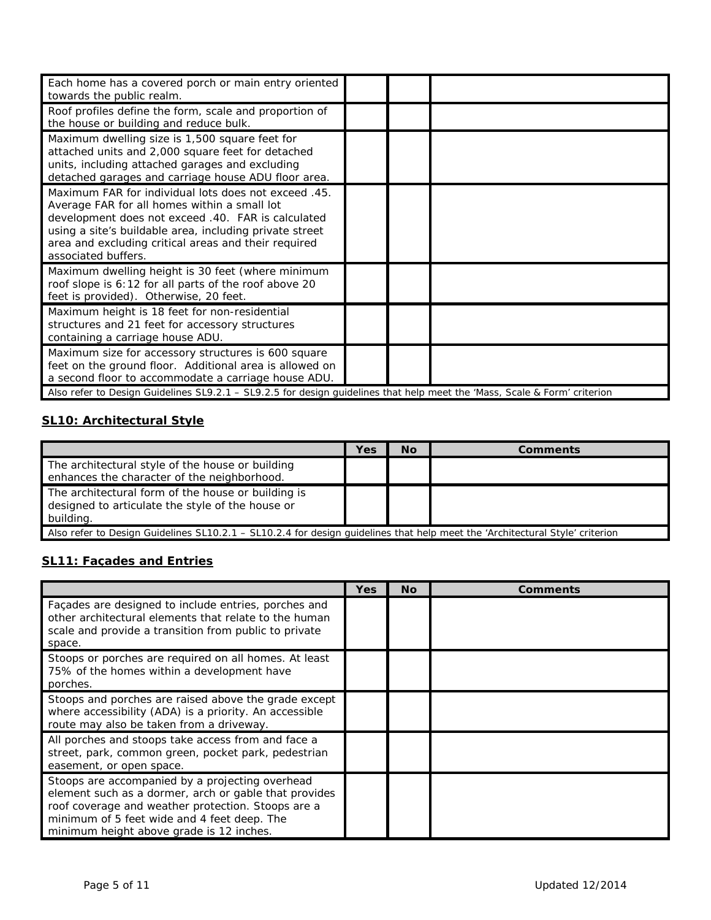| Each home has a covered porch or main entry oriented<br>towards the public realm.                                                                                                                                                                                                                    |  |  |
|------------------------------------------------------------------------------------------------------------------------------------------------------------------------------------------------------------------------------------------------------------------------------------------------------|--|--|
| Roof profiles define the form, scale and proportion of<br>the house or building and reduce bulk.                                                                                                                                                                                                     |  |  |
| Maximum dwelling size is 1,500 square feet for<br>attached units and 2,000 square feet for detached<br>units, including attached garages and excluding<br>detached garages and carriage house ADU floor area.                                                                                        |  |  |
| Maximum FAR for individual lots does not exceed .45.<br>Average FAR for all homes within a small lot<br>development does not exceed .40. FAR is calculated<br>using a site's buildable area, including private street<br>area and excluding critical areas and their required<br>associated buffers. |  |  |
| Maximum dwelling height is 30 feet (where minimum<br>roof slope is 6:12 for all parts of the roof above 20<br>feet is provided). Otherwise, 20 feet.                                                                                                                                                 |  |  |
| Maximum height is 18 feet for non-residential<br>structures and 21 feet for accessory structures<br>containing a carriage house ADU.                                                                                                                                                                 |  |  |
| Maximum size for accessory structures is 600 square<br>feet on the ground floor. Additional area is allowed on<br>a second floor to accommodate a carriage house ADU.                                                                                                                                |  |  |
| Also refer to Design Guidelines SL9.2.1 - SL9.2.5 for design guidelines that help meet the 'Mass, Scale & Form' criterion                                                                                                                                                                            |  |  |

# **SL10: Architectural Style**

|                                                                                                                              | Yes | <b>No</b> | Comments |
|------------------------------------------------------------------------------------------------------------------------------|-----|-----------|----------|
| The architectural style of the house or building<br>enhances the character of the neighborhood.                              |     |           |          |
| The architectural form of the house or building is<br>designed to articulate the style of the house or<br>building.          |     |           |          |
| Also refer to Design Guidelines SL10.2.1 – SL10.2.4 for design quidelines that help meet the 'Architectural Style' criterion |     |           |          |

# **SL11: Façades and Entries**

|                                                                                                                                                                                                                                                           | Yes | <b>No</b> | Comments |
|-----------------------------------------------------------------------------------------------------------------------------------------------------------------------------------------------------------------------------------------------------------|-----|-----------|----------|
| Facades are designed to include entries, porches and<br>other architectural elements that relate to the human<br>scale and provide a transition from public to private<br>space.                                                                          |     |           |          |
| Stoops or porches are required on all homes. At least<br>75% of the homes within a development have<br>porches.                                                                                                                                           |     |           |          |
| Stoops and porches are raised above the grade except<br>where accessibility (ADA) is a priority. An accessible<br>route may also be taken from a driveway.                                                                                                |     |           |          |
| All porches and stoops take access from and face a<br>street, park, common green, pocket park, pedestrian<br>easement, or open space.                                                                                                                     |     |           |          |
| Stoops are accompanied by a projecting overhead<br>element such as a dormer, arch or gable that provides<br>roof coverage and weather protection. Stoops are a<br>minimum of 5 feet wide and 4 feet deep. The<br>minimum height above grade is 12 inches. |     |           |          |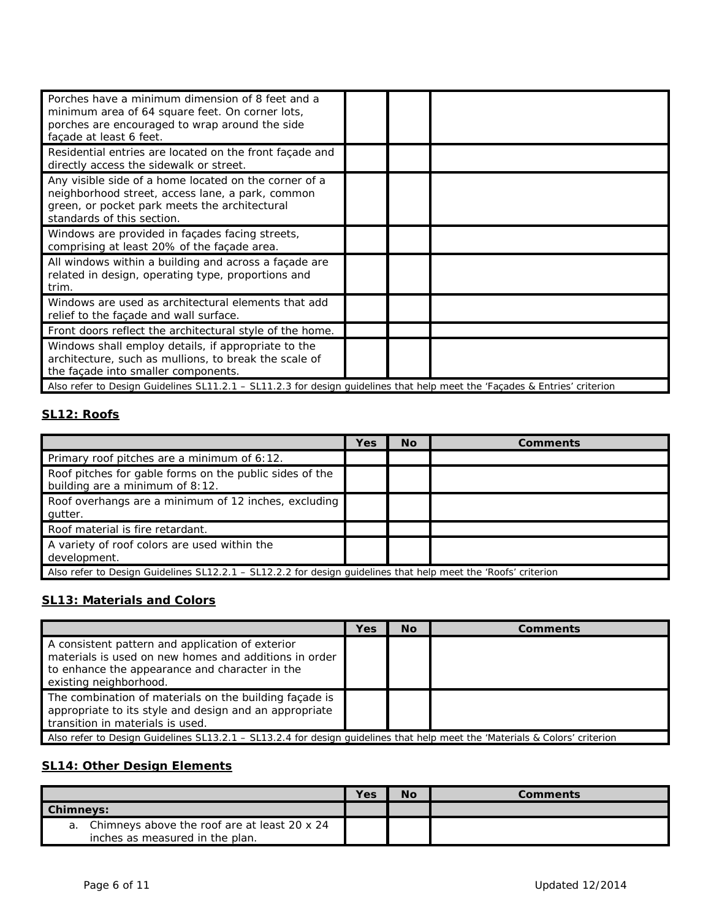| Porches have a minimum dimension of 8 feet and a<br>minimum area of 64 square feet. On corner lots,<br>porches are encouraged to wrap around the side<br>façade at least 6 feet.         |  |  |
|------------------------------------------------------------------------------------------------------------------------------------------------------------------------------------------|--|--|
| Residential entries are located on the front facade and<br>directly access the sidewalk or street.                                                                                       |  |  |
| Any visible side of a home located on the corner of a<br>neighborhood street, access lane, a park, common<br>green, or pocket park meets the architectural<br>standards of this section. |  |  |
| Windows are provided in façades facing streets,<br>comprising at least 20% of the façade area.                                                                                           |  |  |
| All windows within a building and across a façade are<br>related in design, operating type, proportions and<br>trim.                                                                     |  |  |
| Windows are used as architectural elements that add<br>relief to the facade and wall surface.                                                                                            |  |  |
| Front doors reflect the architectural style of the home.                                                                                                                                 |  |  |
| Windows shall employ details, if appropriate to the<br>architecture, such as mullions, to break the scale of<br>the façade into smaller components.                                      |  |  |
| Also refer to Design Guidelines SL11.2.1 - SL11.2.3 for design guidelines that help meet the 'Façades & Entries' criterion                                                               |  |  |

#### **SL12: Roofs**

|                                                                                                                | Yes | <b>No</b> | <b>Comments</b> |  |
|----------------------------------------------------------------------------------------------------------------|-----|-----------|-----------------|--|
| Primary roof pitches are a minimum of 6:12.                                                                    |     |           |                 |  |
| Roof pitches for gable forms on the public sides of the<br>building are a minimum of 8:12.                     |     |           |                 |  |
| Roof overhangs are a minimum of 12 inches, excluding<br>qutter.                                                |     |           |                 |  |
| Roof material is fire retardant.                                                                               |     |           |                 |  |
| A variety of roof colors are used within the<br>development.                                                   |     |           |                 |  |
| Also refer to Design Guidelines SL12.2.1 – SL12.2.2 for design guidelines that help meet the 'Roofs' criterion |     |           |                 |  |

#### **SL13: Materials and Colors**

|                                                                                                                                                                                       | Yes | <b>No</b> | Comments |
|---------------------------------------------------------------------------------------------------------------------------------------------------------------------------------------|-----|-----------|----------|
| A consistent pattern and application of exterior<br>materials is used on new homes and additions in order<br>to enhance the appearance and character in the<br>existing neighborhood. |     |           |          |
| The combination of materials on the building façade is<br>appropriate to its style and design and an appropriate<br>transition in materials is used.                                  |     |           |          |
| Also refer to Design Guidelines SL13.2.1 – SL13.2.4 for design quidelines that help meet the 'Materials & Colors' criterion                                                           |     |           |          |

# **SL14: Other Design Elements**

|                  |                                                 | Yes | No | Comments |
|------------------|-------------------------------------------------|-----|----|----------|
| <b>Chimneys:</b> |                                                 |     |    |          |
|                  | a. Chimneys above the roof are at least 20 x 24 |     |    |          |
|                  | inches as measured in the plan.                 |     |    |          |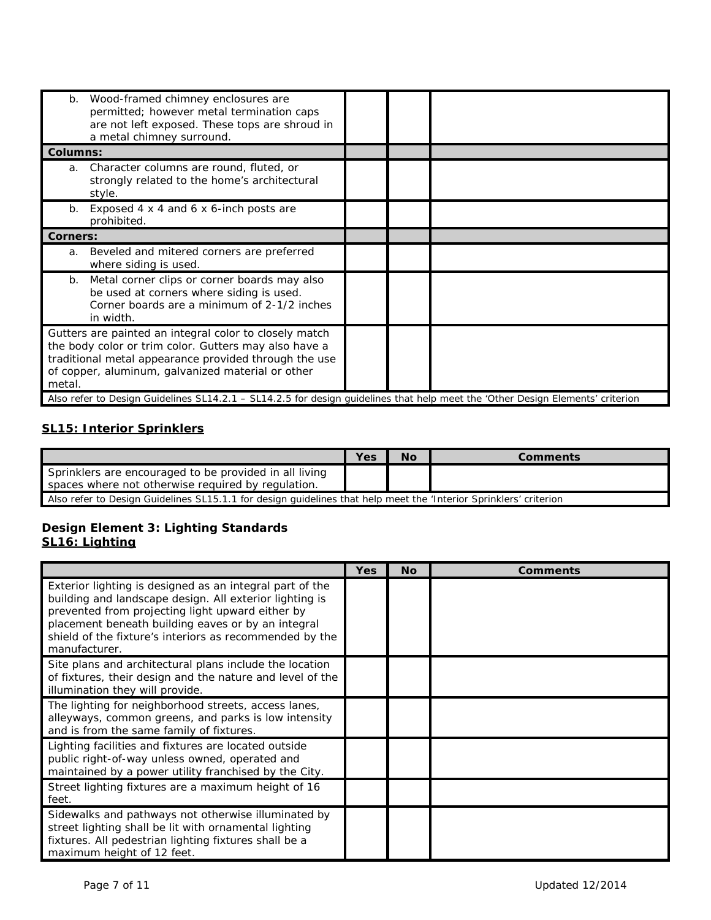| Wood-framed chimney enclosures are<br>b.<br>permitted; however metal termination caps<br>are not left exposed. These tops are shroud in<br>a metal chimney surround.                                                                    |  |  |
|-----------------------------------------------------------------------------------------------------------------------------------------------------------------------------------------------------------------------------------------|--|--|
| <b>Columns:</b>                                                                                                                                                                                                                         |  |  |
| Character columns are round, fluted, or<br>a.<br>strongly related to the home's architectural<br>style.                                                                                                                                 |  |  |
| Exposed 4 x 4 and 6 x 6-inch posts are<br>b.<br>prohibited.                                                                                                                                                                             |  |  |
| <b>Corners:</b>                                                                                                                                                                                                                         |  |  |
| Beveled and mitered corners are preferred<br>a.<br>where siding is used.                                                                                                                                                                |  |  |
| Metal corner clips or corner boards may also<br>b.<br>be used at corners where siding is used.<br>Corner boards are a minimum of 2-1/2 inches<br>in width.                                                                              |  |  |
| Gutters are painted an integral color to closely match<br>the body color or trim color. Gutters may also have a<br>traditional metal appearance provided through the use<br>of copper, aluminum, galvanized material or other<br>metal. |  |  |
| Also refer to Design Guidelines SL14.2.1 - SL14.2.5 for design guidelines that help meet the 'Other Design Elements' criterion                                                                                                          |  |  |

## **SL15: Interior Sprinklers**

|                                                                                                                   | Yes | <b>No</b> | Comments |  |
|-------------------------------------------------------------------------------------------------------------------|-----|-----------|----------|--|
| Sprinklers are encouraged to be provided in all living<br>spaces where not otherwise required by regulation.      |     |           |          |  |
| Also refer to Design Guidelines SL15.1.1 for design guidelines that help meet the 'Interior Sprinklers' criterion |     |           |          |  |

#### **Design Element 3: Lighting Standards SL16: Lighting**

|                                                                                                                                                                                                                                                                                                           | Yes | <b>No</b> | <b>Comments</b> |
|-----------------------------------------------------------------------------------------------------------------------------------------------------------------------------------------------------------------------------------------------------------------------------------------------------------|-----|-----------|-----------------|
| Exterior lighting is designed as an integral part of the<br>building and landscape design. All exterior lighting is<br>prevented from projecting light upward either by<br>placement beneath building eaves or by an integral<br>shield of the fixture's interiors as recommended by the<br>manufacturer. |     |           |                 |
| Site plans and architectural plans include the location<br>of fixtures, their design and the nature and level of the<br>illumination they will provide.                                                                                                                                                   |     |           |                 |
| The lighting for neighborhood streets, access lanes,<br>alleyways, common greens, and parks is low intensity<br>and is from the same family of fixtures.                                                                                                                                                  |     |           |                 |
| Lighting facilities and fixtures are located outside<br>public right-of-way unless owned, operated and<br>maintained by a power utility franchised by the City.                                                                                                                                           |     |           |                 |
| Street lighting fixtures are a maximum height of 16<br>feet.                                                                                                                                                                                                                                              |     |           |                 |
| Sidewalks and pathways not otherwise illuminated by<br>street lighting shall be lit with ornamental lighting<br>fixtures. All pedestrian lighting fixtures shall be a<br>maximum height of 12 feet.                                                                                                       |     |           |                 |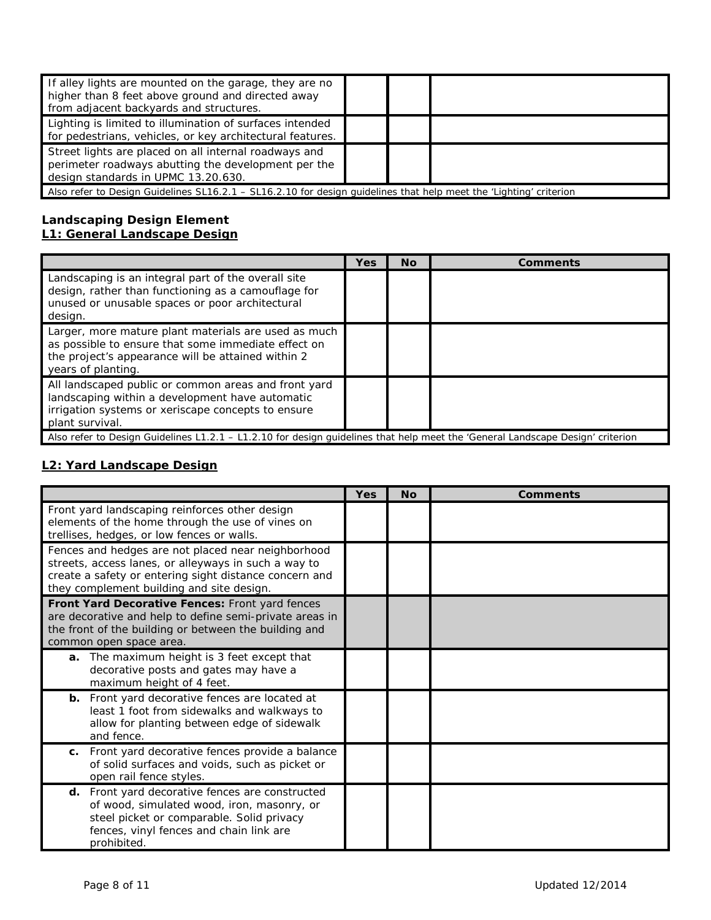| If alley lights are mounted on the garage, they are no<br>higher than 8 feet above ground and directed away<br>from adjacent backyards and structures. |  |  |  |  |
|--------------------------------------------------------------------------------------------------------------------------------------------------------|--|--|--|--|
| Lighting is limited to illumination of surfaces intended<br>for pedestrians, vehicles, or key architectural features.                                  |  |  |  |  |
| Street lights are placed on all internal roadways and<br>perimeter roadways abutting the development per the<br>design standards in UPMC 13.20.630.    |  |  |  |  |
| Also refer to Design Guidelines SL16.2.1 – SL16.2.10 for design quidelines that help meet the 'Lighting' criterion                                     |  |  |  |  |

#### **Landscaping Design Element L1: General Landscape Design**

|                                                                                                                                                                                         | Yes | <b>No</b> | <b>Comments</b> |
|-----------------------------------------------------------------------------------------------------------------------------------------------------------------------------------------|-----|-----------|-----------------|
| Landscaping is an integral part of the overall site<br>design, rather than functioning as a camouflage for<br>unused or unusable spaces or poor architectural<br>design.                |     |           |                 |
| Larger, more mature plant materials are used as much<br>as possible to ensure that some immediate effect on<br>the project's appearance will be attained within 2<br>years of planting. |     |           |                 |
| All landscaped public or common areas and front yard<br>landscaping within a development have automatic<br>irrigation systems or xeriscape concepts to ensure<br>plant survival.        |     |           |                 |
| Also refer to Design Guidelines L1.2.1 – L1.2.10 for design guidelines that help meet the 'General Landscape Design' criterion                                                          |     |           |                 |

# **L2: Yard Landscape Design**

 $\overline{a}$ 

|                                                                                                                                                                                                                   | Yes | <b>No</b> | <b>Comments</b> |
|-------------------------------------------------------------------------------------------------------------------------------------------------------------------------------------------------------------------|-----|-----------|-----------------|
| Front yard landscaping reinforces other design<br>elements of the home through the use of vines on<br>trellises, hedges, or low fences or walls.                                                                  |     |           |                 |
| Fences and hedges are not placed near neighborhood<br>streets, access lanes, or alleyways in such a way to<br>create a safety or entering sight distance concern and<br>they complement building and site design. |     |           |                 |
| Front Yard Decorative Fences: Front yard fences<br>are decorative and help to define semi-private areas in<br>the front of the building or between the building and<br>common open space area.                    |     |           |                 |
| a. The maximum height is 3 feet except that<br>decorative posts and gates may have a<br>maximum height of 4 feet.                                                                                                 |     |           |                 |
| <b>b.</b> Front yard decorative fences are located at<br>least 1 foot from sidewalks and walkways to<br>allow for planting between edge of sidewalk<br>and fence.                                                 |     |           |                 |
| Front yard decorative fences provide a balance<br>C.<br>of solid surfaces and voids, such as picket or<br>open rail fence styles.                                                                                 |     |           |                 |
| d. Front yard decorative fences are constructed<br>of wood, simulated wood, iron, masonry, or<br>steel picket or comparable. Solid privacy<br>fences, vinyl fences and chain link are<br>prohibited.              |     |           |                 |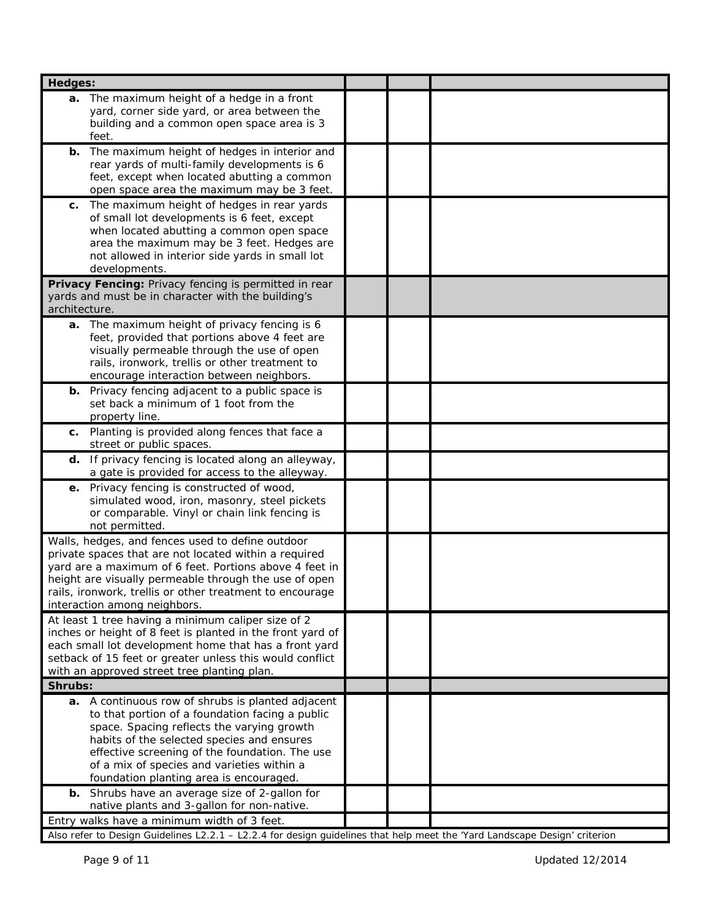| <b>Hedges:</b>                                                                                                                                                                                                                                                                                                                              |  |  |
|---------------------------------------------------------------------------------------------------------------------------------------------------------------------------------------------------------------------------------------------------------------------------------------------------------------------------------------------|--|--|
| a. The maximum height of a hedge in a front<br>yard, corner side yard, or area between the<br>building and a common open space area is 3<br>feet.                                                                                                                                                                                           |  |  |
| The maximum height of hedges in interior and<br>b.<br>rear yards of multi-family developments is 6<br>feet, except when located abutting a common<br>open space area the maximum may be 3 feet.                                                                                                                                             |  |  |
| The maximum height of hedges in rear yards<br>С.<br>of small lot developments is 6 feet, except<br>when located abutting a common open space<br>area the maximum may be 3 feet. Hedges are<br>not allowed in interior side yards in small lot<br>developments.                                                                              |  |  |
| Privacy Fencing: Privacy fencing is permitted in rear<br>yards and must be in character with the building's<br>architecture.                                                                                                                                                                                                                |  |  |
| a. The maximum height of privacy fencing is 6<br>feet, provided that portions above 4 feet are<br>visually permeable through the use of open<br>rails, ironwork, trellis or other treatment to<br>encourage interaction between neighbors.                                                                                                  |  |  |
| <b>b.</b> Privacy fencing adjacent to a public space is<br>set back a minimum of 1 foot from the<br>property line.                                                                                                                                                                                                                          |  |  |
| c. Planting is provided along fences that face a<br>street or public spaces.                                                                                                                                                                                                                                                                |  |  |
| d. If privacy fencing is located along an alleyway,<br>a gate is provided for access to the alleyway.                                                                                                                                                                                                                                       |  |  |
| e. Privacy fencing is constructed of wood,<br>simulated wood, iron, masonry, steel pickets<br>or comparable. Vinyl or chain link fencing is<br>not permitted.                                                                                                                                                                               |  |  |
| Walls, hedges, and fences used to define outdoor<br>private spaces that are not located within a required<br>yard are a maximum of 6 feet. Portions above 4 feet in<br>height are visually permeable through the use of open<br>rails, ironwork, trellis or other treatment to encourage<br>interaction among neighbors.                    |  |  |
| At least 1 tree having a minimum caliper size of 2<br>inches or height of 8 feet is planted in the front yard of<br>each small lot development home that has a front yard<br>setback of 15 feet or greater unless this would conflict<br>with an approved street tree planting plan.                                                        |  |  |
| Shrubs:                                                                                                                                                                                                                                                                                                                                     |  |  |
| a. A continuous row of shrubs is planted adjacent<br>to that portion of a foundation facing a public<br>space. Spacing reflects the varying growth<br>habits of the selected species and ensures<br>effective screening of the foundation. The use<br>of a mix of species and varieties within a<br>foundation planting area is encouraged. |  |  |
| Shrubs have an average size of 2-gallon for<br>b.<br>native plants and 3-gallon for non-native.                                                                                                                                                                                                                                             |  |  |
| Entry walks have a minimum width of 3 feet.                                                                                                                                                                                                                                                                                                 |  |  |
| Also refer to Design Guidelines L2.2.1 - L2.2.4 for design guidelines that help meet the 'Yard Landscape Design' criterion                                                                                                                                                                                                                  |  |  |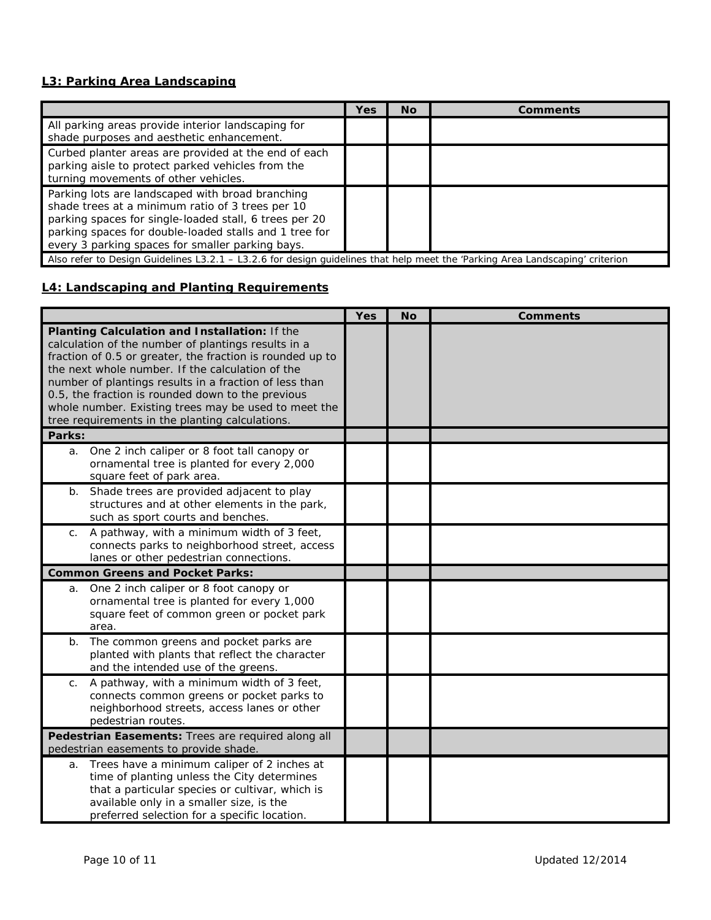## **L3: Parking Area Landscaping**

|                                                                                                                                                                                                                                                                              | <b>Yes</b> | <b>No</b> | Comments |  |
|------------------------------------------------------------------------------------------------------------------------------------------------------------------------------------------------------------------------------------------------------------------------------|------------|-----------|----------|--|
| All parking areas provide interior landscaping for<br>shade purposes and aesthetic enhancement.                                                                                                                                                                              |            |           |          |  |
| Curbed planter areas are provided at the end of each<br>parking aisle to protect parked vehicles from the<br>turning movements of other vehicles.                                                                                                                            |            |           |          |  |
| Parking lots are landscaped with broad branching<br>shade trees at a minimum ratio of 3 trees per 10<br>parking spaces for single-loaded stall, 6 trees per 20<br>parking spaces for double-loaded stalls and 1 tree for<br>every 3 parking spaces for smaller parking bays. |            |           |          |  |
| Also refer to Design Guidelines L3.2.1 - L3.2.6 for design guidelines that help meet the 'Parking Area Landscaping' criterion                                                                                                                                                |            |           |          |  |

## **L4: Landscaping and Planting Requirements**

|                |                                                                                                                                                                                                                                                                                                                                                                                                                                                 | <b>Yes</b> | <b>No</b> | <b>Comments</b> |
|----------------|-------------------------------------------------------------------------------------------------------------------------------------------------------------------------------------------------------------------------------------------------------------------------------------------------------------------------------------------------------------------------------------------------------------------------------------------------|------------|-----------|-----------------|
|                | Planting Calculation and Installation: If the<br>calculation of the number of plantings results in a<br>fraction of 0.5 or greater, the fraction is rounded up to<br>the next whole number. If the calculation of the<br>number of plantings results in a fraction of less than<br>0.5, the fraction is rounded down to the previous<br>whole number. Existing trees may be used to meet the<br>tree requirements in the planting calculations. |            |           |                 |
| Parks:         |                                                                                                                                                                                                                                                                                                                                                                                                                                                 |            |           |                 |
| a.             | One 2 inch caliper or 8 foot tall canopy or<br>ornamental tree is planted for every 2,000<br>square feet of park area.                                                                                                                                                                                                                                                                                                                          |            |           |                 |
| $b_{\cdot}$    | Shade trees are provided adjacent to play<br>structures and at other elements in the park,<br>such as sport courts and benches.                                                                                                                                                                                                                                                                                                                 |            |           |                 |
| C <sub>1</sub> | A pathway, with a minimum width of 3 feet,<br>connects parks to neighborhood street, access<br>lanes or other pedestrian connections.                                                                                                                                                                                                                                                                                                           |            |           |                 |
|                | <b>Common Greens and Pocket Parks:</b>                                                                                                                                                                                                                                                                                                                                                                                                          |            |           |                 |
| a.             | One 2 inch caliper or 8 foot canopy or<br>ornamental tree is planted for every 1,000<br>square feet of common green or pocket park<br>area.                                                                                                                                                                                                                                                                                                     |            |           |                 |
| $b$ .          | The common greens and pocket parks are<br>planted with plants that reflect the character<br>and the intended use of the greens.                                                                                                                                                                                                                                                                                                                 |            |           |                 |
| C.             | A pathway, with a minimum width of 3 feet,<br>connects common greens or pocket parks to<br>neighborhood streets, access lanes or other<br>pedestrian routes.                                                                                                                                                                                                                                                                                    |            |           |                 |
|                | Pedestrian Easements: Trees are required along all<br>pedestrian easements to provide shade.                                                                                                                                                                                                                                                                                                                                                    |            |           |                 |
| a.             | Trees have a minimum caliper of 2 inches at<br>time of planting unless the City determines<br>that a particular species or cultivar, which is<br>available only in a smaller size, is the<br>preferred selection for a specific location.                                                                                                                                                                                                       |            |           |                 |